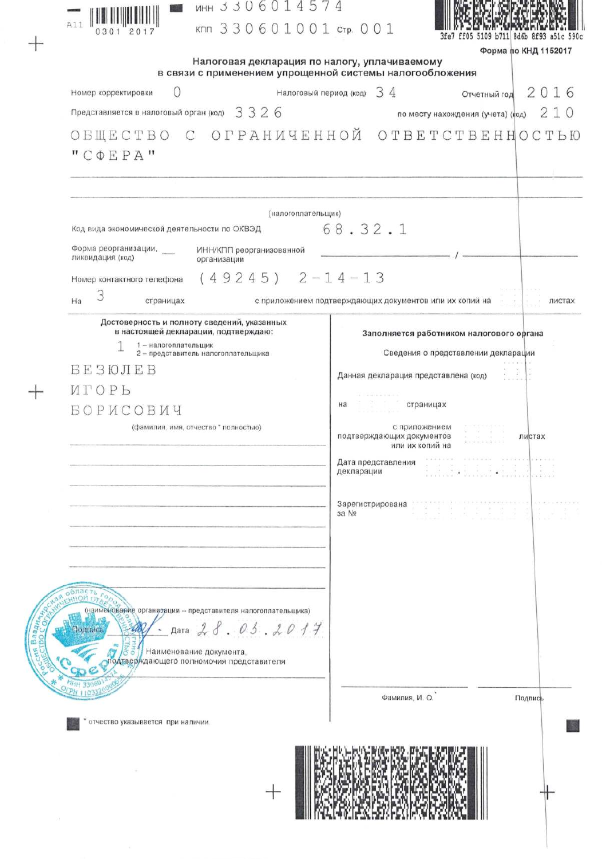| MH 3 3 0 6 0 1 4 5 7<br>A11<br>кпп 330601001 стр. 001                               |                                                               |                                    |
|-------------------------------------------------------------------------------------|---------------------------------------------------------------|------------------------------------|
| 0301 2017                                                                           |                                                               | ff05 5109 b711 8d6b 8f93 a51c 590c |
| Налоговая декларация по налогу, уплачиваемому                                       |                                                               | Форма по КНД 1152017               |
| в связи с применением упрощенной системы налогообложения                            |                                                               |                                    |
| Налоговый период (код)<br>Номер корректировки                                       | 34<br>Отчетный год                                            | 2016                               |
| Представляется в налоговый орган (код) $3326$                                       | по месту нахождения (учета) (код)                             | 210                                |
| ОБЩЕСТВО С ОГРАНИЧЕННОЙ                                                             | OTBETCTBEHHOCTЬЮ                                              |                                    |
| $"$ C $\Phi$ EPA"                                                                   |                                                               |                                    |
|                                                                                     |                                                               |                                    |
| (налогоплательщик)                                                                  |                                                               |                                    |
| Код вида экономической деятельности по ОКВЭД                                        | 68.32.1                                                       |                                    |
| Форма реорганизации,<br>ИНН/КПП реорганизованной<br>ликвидация (код)<br>организации |                                                               |                                    |
| $(49245)$ $2-14-13$<br>Номер контактного телефона                                   |                                                               |                                    |
| 3<br>Ha<br>страницах                                                                | с приложением подтверждающих документов или их копий на       | листах                             |
| Достоверность и полноту сведений, указанных                                         |                                                               |                                    |
| в настоящей декларации, подтверждаю:                                                | Заполняется работником налогового органа                      |                                    |
| 1 - налогоплательщик<br>2 - представитель налогоплательщика                         | Сведения о представлении декларации                           |                                    |
| <b>BESЮJEB</b>                                                                      | Данная декларация представлена (код)                          |                                    |
| <b>MTOPL</b>                                                                        |                                                               |                                    |
| БОРИСОВИЧ                                                                           | на<br>страницах                                               |                                    |
| (фамилия, имя, отчество * полностью)                                                | с приложением<br>подтверждающих документов<br>или их копий на | листах                             |
|                                                                                     | Дата представления<br>декларации<br>www.com its spoon.        |                                    |
|                                                                                     | Зарегистрирована                                              |                                    |
|                                                                                     | 3a Nº                                                         |                                    |
|                                                                                     |                                                               |                                    |
|                                                                                     |                                                               |                                    |
|                                                                                     |                                                               |                                    |
| FHHOM OF                                                                            |                                                               |                                    |
| (наименование организации - представителя налогоплательщика)                        |                                                               |                                    |
| Голнись<br>Дата                                                                     |                                                               |                                    |
| Наименование документа,<br>подтверждающего полномочия представителя                 |                                                               |                                    |
|                                                                                     |                                                               |                                    |
|                                                                                     | Фамилия, И. О.                                                | Подпись                            |
|                                                                                     |                                                               |                                    |
| отчество указывается при наличии.                                                   |                                                               |                                    |
|                                                                                     |                                                               |                                    |
|                                                                                     |                                                               |                                    |
|                                                                                     |                                                               |                                    |
|                                                                                     |                                                               |                                    |
|                                                                                     |                                                               |                                    |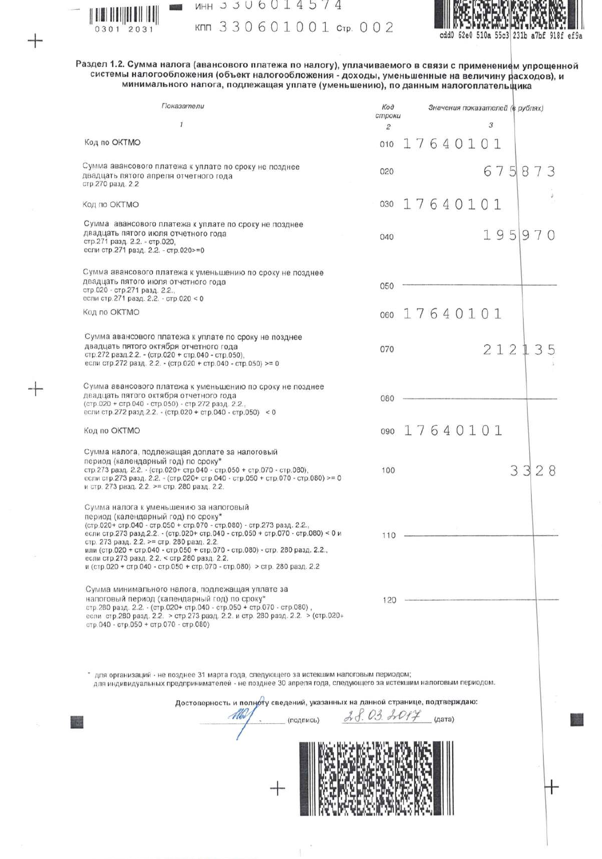

╅

 $+$ 

| $MHH$ 3 3 U 6 U 1 4 5 7 4 |  |  |  |  |                       |  |
|---------------------------|--|--|--|--|-----------------------|--|
|                           |  |  |  |  | кпп 330601001 стр. 00 |  |



Раздел 1.2. Сумма налога (авансового платежа по налогу), уплачиваемого в связи с применением упрощенной<br>системы налогообложения (объект налогообложения - доходы, уменьшенные на величину расходов), и<br>минимального налога, п

 $\overline{c}$ 

| Показатели                                                                                                                                                                                                                                                                                                                                                                                                                                                                                          | Koð<br>строки        | Значения показателей (в рублях) |  |  |  |  |   |  |        |  |  |  |
|-----------------------------------------------------------------------------------------------------------------------------------------------------------------------------------------------------------------------------------------------------------------------------------------------------------------------------------------------------------------------------------------------------------------------------------------------------------------------------------------------------|----------------------|---------------------------------|--|--|--|--|---|--|--------|--|--|--|
| $\mathcal I$                                                                                                                                                                                                                                                                                                                                                                                                                                                                                        | $\overline{c}$       |                                 |  |  |  |  | 3 |  |        |  |  |  |
| Код по ОКТМО                                                                                                                                                                                                                                                                                                                                                                                                                                                                                        | 010                  | 17640101                        |  |  |  |  |   |  |        |  |  |  |
| Сумма авансового платежа к уплате по сроку не позднее<br>двадцать пятого апреля отчетного года<br>стр. 270 разд. 2.2                                                                                                                                                                                                                                                                                                                                                                                | 020                  |                                 |  |  |  |  |   |  | 675873 |  |  |  |
| Код по ОКТМО                                                                                                                                                                                                                                                                                                                                                                                                                                                                                        | 030                  | 17640101                        |  |  |  |  |   |  |        |  |  |  |
| Сумма авансового платежа к уплате по сроку не позднее<br>двадцать пятого июля отчетного года<br>стр.271 разд. 2.2. - стр.020,<br>если стр.271 разд. 2.2. - стр.020>=0                                                                                                                                                                                                                                                                                                                               | 040                  |                                 |  |  |  |  |   |  | 195970 |  |  |  |
| Сумма авансового платежа к уменьшению по сроку не позднее<br>двадцать пятого июля отчетного года<br>стр.020 - стр.271 разд. 2.2.,<br>если стр. 271 разд. 2.2. - стр. 020 < 0                                                                                                                                                                                                                                                                                                                        | 050                  |                                 |  |  |  |  |   |  |        |  |  |  |
| Код по ОКТМО                                                                                                                                                                                                                                                                                                                                                                                                                                                                                        | 060                  | 17640101                        |  |  |  |  |   |  |        |  |  |  |
| Сумма авансового платежа к уплате по сроку не позднее<br>двадцать пятого октября отчетного года<br>стр.272 разд.2.2. - (стр.020 + стр.040 - стр.050),<br>если стр.272 разд. 2.2. - (стр.020 + стр.040 - стр.050) >= 0                                                                                                                                                                                                                                                                               | 070                  |                                 |  |  |  |  |   |  | 212135 |  |  |  |
| Сумма авансового платежа к уменьшению по сроку не позднее<br>двадцать пятого октября отчетного года<br>(стр.020 + стр.040 - стр.050) - стр.272 разд. 2.2.,<br>если стр. 272 разд. 2.2. - (стр. 020 + стр. 040 - стр. 050) < 0                                                                                                                                                                                                                                                                       | 080                  |                                 |  |  |  |  |   |  |        |  |  |  |
| Код по ОКТМО                                                                                                                                                                                                                                                                                                                                                                                                                                                                                        | 090                  | 17640101                        |  |  |  |  |   |  |        |  |  |  |
| Сумма налога, подлежащая доплате за налоговый<br>период (календарный год) по сроку*<br>стр. 273 разд. 2.2. - (стр. 020+ стр. 040 - стр. 050 + стр. 070 - стр. 080),<br>если стр.273 разд. 2.2. - (стр.020+ стр.040 - стр.050 + стр.070 - стр.080) >= 0<br>и стр. 273 разд. 2.2. >= стр. 280 разд. 2.2.                                                                                                                                                                                              | 100                  |                                 |  |  |  |  |   |  | 3328   |  |  |  |
| Сумма налога к уменьшению за налоговый<br>период (календарный год) по сроку*<br>(стр.020+ стр.040 - стр.050 + стр.070 - стр.080) - стр.273 разд. 2.2.,<br>если стр.273 разд.2.2. - (стр.020+ стр.040 - стр.050 + стр.070 - стр.080) < 0 и<br>стр. 273 разд. 2.2. >= стр. 280 разд. 2.2.<br>или (стр.020 + стр.040 - стр.050 + стр.070 - стр.080) - стр. 280 разд. 2.2.,<br>если стр.273 разд. 2.2. < стр.280 разд. 2.2.<br>и (стр.020 + стр.040 - стр.050 + стр.070 - стр.080) > стр. 280 разд. 2.2 | $110 -$              |                                 |  |  |  |  |   |  |        |  |  |  |
| Сумма минимального налога, подлежащая уплате за<br>налоговый период (календарный год) по сроку*<br>стр. 280 разд. 2.2. - (стр. 020+ стр. 040 - стр. 050 + стр. 070 - стр. 080),<br>если стр.280 разд. 2.2. > стр.273 разд. 2.2. и стр. 280 разд. 2.2. > (стр.020+<br>стр. 040 - стр. 050 + стр. 070 - стр. 080)                                                                                                                                                                                     | 120                  |                                 |  |  |  |  |   |  |        |  |  |  |
| иля организаций - не позднее 31 марта года, следующего за истекшим налоговым периодом;<br>для индивидуальных предпринимателей - не позднее 30 апреля года, следующего за истекшим налоговым периодом.<br>Достоверность и полноту сведений, указанных на данной странице, подтверждаю:<br>(подпись)                                                                                                                                                                                                  | $2.8.03.7017$ (дата) |                                 |  |  |  |  |   |  |        |  |  |  |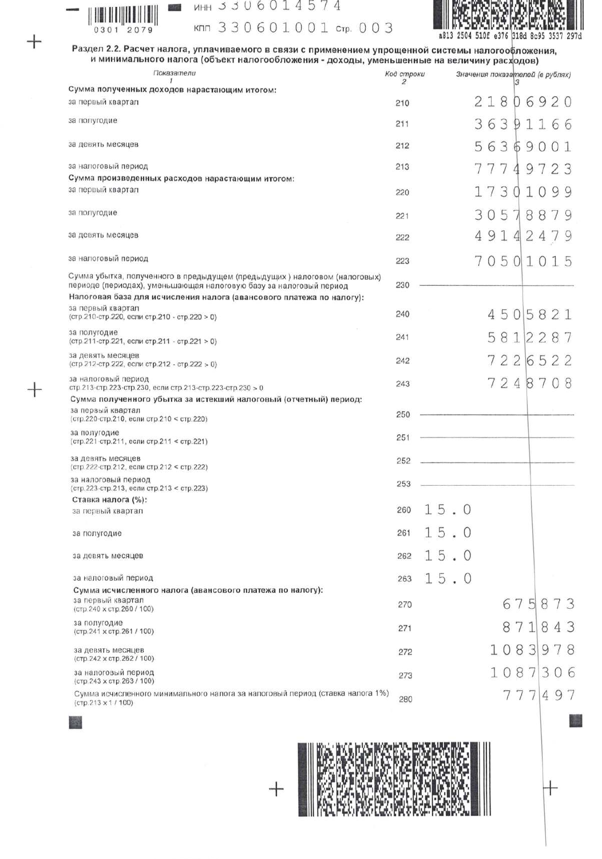

╅

54

**MAYER** 

| инн зз∪6014574 |  |  |  |  |                      |  |
|----------------|--|--|--|--|----------------------|--|
|                |  |  |  |  | кпп 330601001 стр. 0 |  |



Раздел 2.2. Расчет налога, уплачиваемого в связи с применением упрощенной системы налогообложения,<br>и минимального налога (объект налогообложения - доходы, уменьшенные на величину расходов)

03

| Показатели                                                                                                                                                                                                              | Код строки<br>2 | Значения показателей (в рублях)  |
|-------------------------------------------------------------------------------------------------------------------------------------------------------------------------------------------------------------------------|-----------------|----------------------------------|
| Сумма полученных доходов нарастающим итогом:                                                                                                                                                                            |                 |                                  |
| за первый квартал                                                                                                                                                                                                       | 210             | 218<br>06920                     |
| за полугодие                                                                                                                                                                                                            | 211             | 363<br>91166                     |
| за девять месяцев                                                                                                                                                                                                       | 212             | 563<br>6<br>90<br>0 <sub>1</sub> |
| за налоговый период                                                                                                                                                                                                     | 213             | 7<br>7<br>9723<br>4              |
| Сумма произведенных расходов нарастающим итогом:<br>за первый квартал                                                                                                                                                   | 220             | 173<br>1<br>$\Omega$<br>99<br>0  |
| за полугодие                                                                                                                                                                                                            | 221             | 30578879                         |
| за девять месяцев                                                                                                                                                                                                       | 222             | 49142479                         |
| за налоговый период                                                                                                                                                                                                     | 223             | 70501015                         |
| Сумма убытка, полученного в предыдущем (предыдущих) налоговом (налоговых)<br>периоде (периодах), уменьшающая налоговую базу за налоговый период<br>Налоговая база для исчисления налога (авансового платежа по налогу): | 230             |                                  |
| за первый квартал<br>(стр.210-стр.220, если стр.210 - стр.220 > 0)                                                                                                                                                      | 240             | 4505821                          |
| за полугодие<br>(стр. 211-стр. 221, если стр. 211 - стр. 221 > 0)                                                                                                                                                       | 241             | 5812287                          |
| за девять месяцев<br>(стр.212-стр.222, если стр.212 - стр.222 > 0)                                                                                                                                                      | 242             | 7226522                          |
| за налоговый период<br>стр.213-стр.223-стр.230, если стр.213-стр.223-стр.230 > 0                                                                                                                                        | 243             | 7248708                          |
| Сумма полученного убытка за истекший налоговый (отчетный) период:                                                                                                                                                       |                 |                                  |
| за первый квартал<br>(стр.220-стр.210, если стр.210 < стр.220)                                                                                                                                                          | 250             |                                  |
| за полугодие<br>(стр.221-стр.211, если стр.211 < стр.221)                                                                                                                                                               | 251             |                                  |
| за девять месяцев<br>(стр. 222-стр. 212, если стр. 212 < стр. 222)                                                                                                                                                      | 252             |                                  |
| за налоговый период<br>(стр. 223-стр. 213, если стр. 213 < стр. 223)                                                                                                                                                    | 253             |                                  |
| Ставка налога (%):<br>за первый квартал                                                                                                                                                                                 | 260             | 15.0                             |
| за полугодие                                                                                                                                                                                                            | 261             | 15.<br>$\theta$                  |
| за девять месяцев                                                                                                                                                                                                       | 262             | 15.0                             |
| за налоговый период                                                                                                                                                                                                     | 263             | 15.0                             |
| Сумма исчисленного налога (авансового платежа по налогу):<br>за первый квартал<br>(стр. 240 х стр. 260 / 100)                                                                                                           | 270             | 675873                           |
| за полугодие<br>(стр.241 х стр.261 / 100)                                                                                                                                                                               | 271             | 718<br>43<br>8                   |
| за девять месяцев<br>(стр. 242 х стр. 262 / 100)                                                                                                                                                                        | 272             | 1083<br>9<br>8                   |
| за налоговый период<br>(стр. 243 х стр. 263 / 100)                                                                                                                                                                      | 273             | 1087<br>3                        |
| Сумма исчисленного минимального налога за налоговый период (ставка налога 1%)<br>(стр.213 х 1 / 100)                                                                                                                    | 280             | 777<br>497                       |



←

 $^{+}$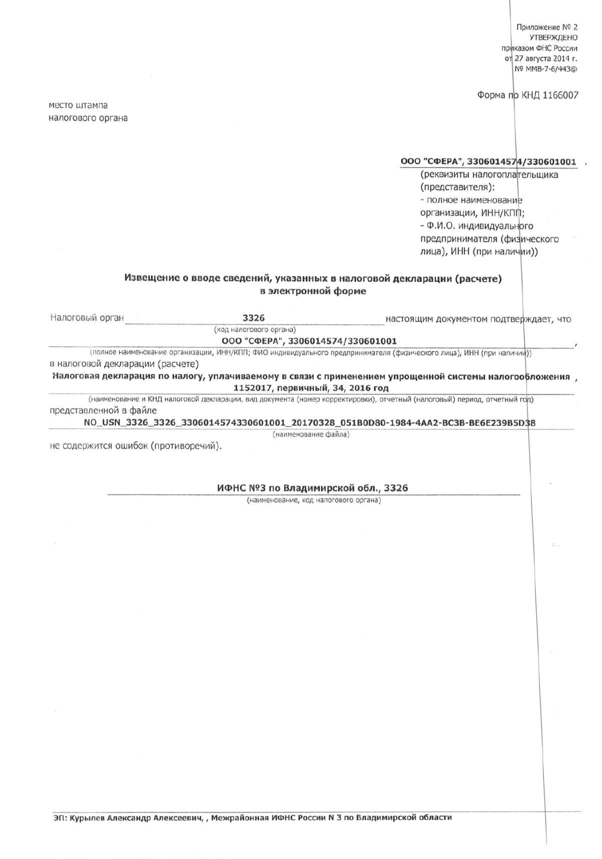Приложение № 2 **УТВЕРЖДЕНО** приказом ФНС России от 27 августа 2014 г. Nº MMB-7-6/443@

Форма по КНД 1166007

место штампа налогового органа

## ООО "СФЕРА", 3306014574/330601001 .

(реквизиты налогоплательщика (представителя): - полное наименование организации, ИНН/КПП; - Ф.И.О. индивидуального предпринимателя (физического лица), ИНН (при наличии))

## Извещение о вводе сведений, указанных в налоговой декларации (расчете) в электронной форме

| Налоговый орган                      | 3326                               | настоящим документом подтверждает, что                                                                                    |
|--------------------------------------|------------------------------------|---------------------------------------------------------------------------------------------------------------------------|
|                                      | (код налогового органа)            |                                                                                                                           |
|                                      | ООО "СФЕРА", 3306014574/330601001  |                                                                                                                           |
|                                      |                                    | (полное наименование организации, ИНН/КПП; ФИО индивидуального предпринимателя (физического лица), ИНН (при наличии))     |
| в налоговой декларации (расчете)     |                                    |                                                                                                                           |
|                                      | 1152017, первичный, 34, 2016 год   | , Налоговая декларация по налогу, уплачиваемому в связи с применением упрощенной системы налогообложения                  |
| представленной в файле               |                                    | (наименование и КНД налоговой декларации, вид документа (номер корректировки), отчетный (налоговый) период, отчетный год) |
|                                      |                                    | NO_USN_3326_3326_3306014574330601001_20170328_051B0D80-1984-4AA2-BC3B-BE6E239B5D38                                        |
|                                      | (наименование файла)               |                                                                                                                           |
| не содержится ошибок (противоречий). |                                    |                                                                                                                           |
|                                      |                                    |                                                                                                                           |
|                                      |                                    |                                                                                                                           |
|                                      | ИФНС №3 по Владимирской обл., 3326 |                                                                                                                           |

(наименование, код налогового органа)